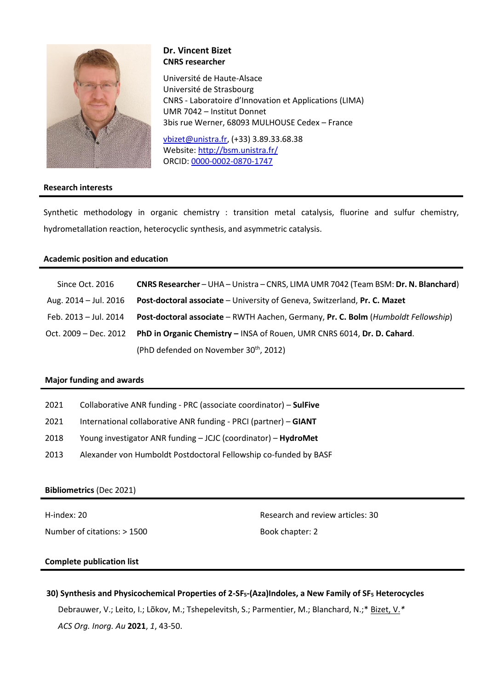

# **Dr. Vincent Bizet CNRS researcher**

Université de Haute-Alsace Université de Strasbourg CNRS - Laboratoire d'Innovation et Applications (LIMA) UMR 7042 – Institut Donnet 3bis rue Werner, 68093 MULHOUSE Cedex – France

[vbizet@unistra.fr,](mailto:vbizet@unistra.fr) (+33) 3.89.33.68.38 Website[: http://bsm.unistra.fr/](http://bsm.unistra.fr/) ORCID: [0000-0002-0870-1747](https://orcid.org/0000-0002-0870-1747)

# **Research interests**

Synthetic methodology in organic chemistry : transition metal catalysis, fluorine and sulfur chemistry, hydrometallation reaction, heterocyclic synthesis, and asymmetric catalysis.

# **Academic position and education**

| Since Oct. 2016       | CNRS Researcher - UHA - Unistra - CNRS, LIMA UMR 7042 (Team BSM: Dr. N. Blanchard) |  |  |
|-----------------------|------------------------------------------------------------------------------------|--|--|
| Aug. 2014 – Jul. 2016 | <b>Post-doctoral associate</b> - University of Geneva, Switzerland, Pr. C. Mazet   |  |  |
| Feb. 2013 - Jul. 2014 | Post-doctoral associate - RWTH Aachen, Germany, Pr. C. Bolm (Humboldt Fellowship)  |  |  |
| Oct. 2009 – Dec. 2012 | PhD in Organic Chemistry - INSA of Rouen, UMR CNRS 6014, Dr. D. Cahard.            |  |  |
|                       | (PhD defended on November 30 <sup>th</sup> , 2012)                                 |  |  |

#### **Major funding and awards**

| 2021 | Collaborative ANR funding - PRC (associate coordinator) - SulFive |  |  |
|------|-------------------------------------------------------------------|--|--|
|------|-------------------------------------------------------------------|--|--|

- 2021 International collaborative ANR funding PRCI (partner) **GIANT**
- 2018 Young investigator ANR funding JCJC (coordinator) **HydroMet**
- 2013 Alexander von Humboldt Postdoctoral Fellowship co-funded by BASF

# **Bibliometrics** (Dec 2021)

H-index: 20 Number of citations: > 1500 Research and review articles: 30 Book chapter: 2

# **Complete publication list**

**[30\) Synthesis and Physicochemical Properties of 2-SF](https://pubs.acs.org/doi/10.1021/acsorginorgau.1c00010)5-(Aza)Indoles, a New Family of SF<sup>5</sup> Heterocycles** Debrauwer, V.; Leito, I.; Lõkov, M.; Tshepelevitsh, S.; Parmentier, M.; Blanchard, N.;\* Bizet, V.*\* ACS Org. Inorg. Au* **2021**, *1*, 43-50.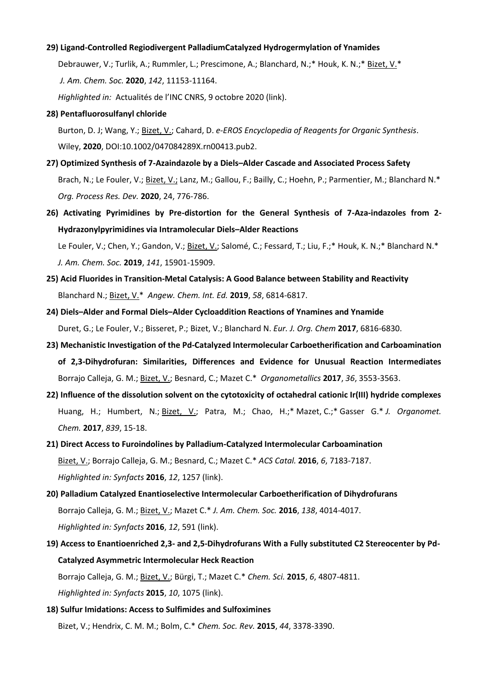#### **[29\) Ligand-Controlled Regiodivergent PalladiumCatalyzed Hydrogermylation of Ynamides](https://pubs.acs.org/doi/10.1021/jacs.0c03556)**

Debrauwer, V.; Turlik, A.; Rummler, L.; Prescimone, A.; Blanchard, N.;\* Houk, K. N.;\* Bizet, V.\* *J. Am. Chem. Soc.* **2020**, *142*, 11153-11164.

*Highlighted in:* Actualités de l'INC CNRS, 9 octobre 2020 [\(link\)](https://inc.cnrs.fr/fr/cnrsinfo/vers-une-meilleure-combinaison-des-briques-elementaires-en-chimie-organique).

**[28\) Pentafluorosulfanyl chloride](https://onlinelibrary.wiley.com/doi/full/10.1002/047084289X.rn00413.pub2)** 

Burton, D. J; Wang, Y.; Bizet, V.; Cahard, D. *e-EROS Encyclopedia of Reagents for Organic Synthesis*. Wiley, **2020**, DOI:10.1002/047084289X.rn00413.pub2.

- **[27\) Optimized Synthesis of 7-Azaindazole by a Diels](https://pubs.acs.org/doi/10.1021/acs.oprd.0c00184)–Alder Cascade and Associated Process Safety** Brach, N.; Le Fouler, V.; Bizet, V.; Lanz, M.; Gallou, F.; Bailly, C.; Hoehn, P.; Parmentier, M.; Blanchard N.\* *Org. Process Res. Dev.* **2020**, 24, 776-786.
- **[26\) Activating Pyrimidines by Pre-distortion for the General Synthesis of 7-Aza-indazoles from 2-](https://pubs.acs.org/doi/10.1021/jacs.9b07037) [Hydrazonylpyrimidines via Intramolecular Diels](https://pubs.acs.org/doi/10.1021/jacs.9b07037)–Alder Reactions**

Le Fouler, V.; Chen, Y.; Gandon, V.; Bizet, V.; Salomé, C.; Fessard, T.; Liu, F.;\* Houk, K. N.;\* Blanchard N.\* *J. Am. Chem. Soc.* **2019**, *141*, 15901-15909.

- **25) [Acid Fluorides in Transition‐Metal Catalysis: A Good Balance between Stability and Reactivity](https://onlinelibrary.wiley.com/doi/full/10.1002/anie.201900591)** Blanchard N.; Bizet, V.\* *Angew. Chem. Int. Ed.* **2019**, *58*, 6814-6817.
- **24) Diels–Alder and Formal Diels–[Alder Cycloaddition Reactions of Ynamines and Ynamide](http://onlinelibrary.wiley.com/doi/10.1002/ejoc.201700986/abstract;jsessionid=621F75C5E52E9A30D1149FA9CFCA4451.f02t02)** Duret, G.; Le Fouler, V.; Bisseret, P.; Bizet, V.; Blanchard N. *Eur. J. Org. Chem* **2017**, 6816-6830.
- **23) [Mechanistic Investigation of the Pd-Catalyzed Intermolecular Carboetherification and Carboamination](http://pubs.acs.org/doi/10.1021/acs.organomet.7b00483)  [of 2,3-Dihydrofuran: Similarities, Differences and Evidence for Unusual Reaction Intermediates](http://pubs.acs.org/doi/10.1021/acs.organomet.7b00483)** Borrajo Calleja, G. M.; Bizet, V.; Besnard, C.; Mazet C.\* *Organometallics* **2017**, *36*, 3553-3563.
- **22) [Influence of the dissolution solvent on the cytotoxicity of octahedral cationic Ir\(III\) hydride complexes](http://www.sciencedirect.com/science/article/pii/S0022328X16305617?via%3Dihub)** Huang, H.; Humbert, N.; Bizet, V.; Patra, M.; Chao, H.;\* Mazet, C.;\* Gasser G.\* *J. Organomet. Chem.* **2017**, *839*, 15-18.
- **21) [Direct Access to Furoindolines by Palladium-Catalyzed Intermolecular Carboamination](http://pubs.acs.org/doi/10.1021/acscatal.6b02238)** Bizet, V.; Borrajo Calleja, G. M.; Besnard, C.; Mazet C.\* *ACS Catal.* **2016**, *6*, 7183-7187. *Highlighted in: Synfacts* **2016**, *12*, 1257 [\(link\)](https://www.thieme-connect.com/products/ejournals/abstract/10.1055/s-0036-1589703).
- **20) [Palladium Catalyzed Enantioselective Intermolecular Carboetherification of Dihydrofurans](http://pubs.acs.org/doi/10.1021/jacs.6b02158)** Borrajo Calleja, G. M.; Bizet, V.; Mazet C.\* *J. Am. Chem. Soc.* **2016**, *138*, 4014-4017. *Highlighted in: Synfacts* **2016**, *12*, 591 [\(link\)](https://thieme-connect.com/products/ejournals/abstract/10.1055/s-0035-1562178).
- **19) Access to Enantioenriched 2,3- [and 2,5-Dihydrofurans With a Fully substituted C2 Stereocenter by Pd-](http://pubs.rsc.org/en/Content/ArticleLanding/2015/SC/C5SC01460C#!divAbstract)[Catalyzed Asymmetric Intermolecular Heck Reaction](http://pubs.rsc.org/en/Content/ArticleLanding/2015/SC/C5SC01460C#!divAbstract)** Borrajo Calleja, G. M.; Bizet, V.; Bürgi, T.; Mazet C.\* *Chem. Sci.* **2015**, *6*, 4807-4811. *Highlighted in: Synfacts* **2015**, *10*, 1075 [\(link\)](https://www.thieme-connect.com/products/ejournals/abstract/10.1055/s-0035-1560234).
- **18) [Sulfur Imidations: Access to Sulfimides and Sulfoximines](http://pubs.rsc.org/en/Content/ArticleLanding/2015/CS/C5CS00208G#!divAbstract)** Bizet, V.; Hendrix, C. M. M.; Bolm, C.\* *Chem. Soc. Rev.* **2015**, *44*, 3378-3390.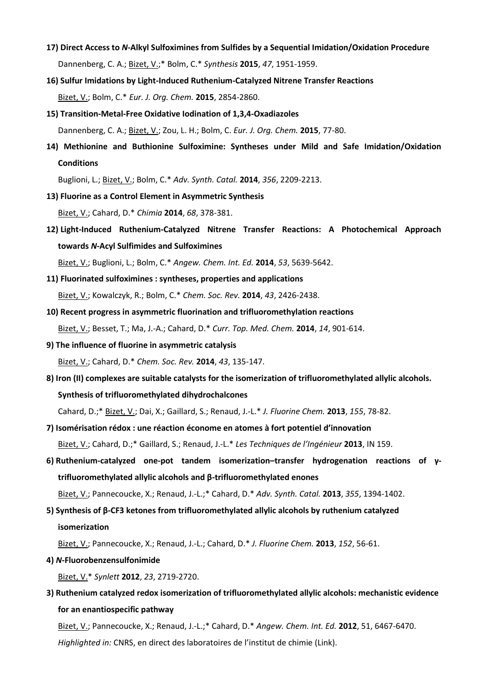- **17) Direct Access to** *N***[-Alkyl Sulfoximines from Sulfides by a Sequential Imidation/Oxidation Procedure](https://thieme-connect.com/products/ejournals/abstract/10.1055/s-0034-1380536)** Dannenberg, C. A.; Bizet, V.;\* Bolm, C.\* *Synthesis* **2015**, *47*, 1951-1959.
- **[16\) Sulfur Imidations by Light-Induced Ruthenium-Catalyzed Nitrene Transfer Reactions](http://onlinelibrary.wiley.com/doi/10.1002/ejoc.201500220/abstract)** Bizet, V.; Bolm, C.\* *Eur. J. Org. Chem.* **2015**, 2854-2860.
- **[15\) Transition-Metal-Free Oxidative Iodination of 1,3,4-Oxadiazoles](http://onlinelibrary.wiley.com/doi/10.1002/ejoc.201403352/abstract)** Dannenberg, C. A.; Bizet, V.; Zou, L. H.; Bolm, C. *Eur. J. Org. Chem.* **2015**, 77-80.
- **[14\) Methionine and Buthionine Sulfoximine: Syntheses under Mild and Safe Imidation/Oxidation](http://onlinelibrary.wiley.com/doi/10.1002/adsc.201400354/abstract)  [Conditions](http://onlinelibrary.wiley.com/doi/10.1002/adsc.201400354/abstract)**

Buglioni, L.; Bizet, V.; Bolm, C.\* *Adv. Synth. Catal.* **2014**, *356*, 2209-2213.

**[13\) Fluorine as a Control Element in Asymmetric Synthesis](http://www.ingentaconnect.com/content/scs/chimia/2014/00000068/00000006/art00006)**

Bizet, V.; Cahard, D.\* *Chimia* **2014**, *68*, 378-381.

**12) [Light-Induced Ruthenium-Catalyzed Nitrene Transfer Reactions: A Photochemical Approach](http://onlinelibrary.wiley.com/doi/10.1002/anie.201310790/abstract)  towards** *N***[-Acyl Sulfimides and Sulfoximines](http://onlinelibrary.wiley.com/doi/10.1002/anie.201310790/abstract)**

Bizet, V.; Buglioni, L.; Bolm, C.\* *Angew. Chem. Int. Ed.* **2014**, *53*, 5639-5642.

**11) [Fluorinated sulfoximines : syntheses, properties and applications](http://pubs.rsc.org/en/Content/ArticleLanding/2014/CS/c3cs60427f#!divAbstract)**

Bizet, V.; Kowalczyk, R.; Bolm, C.\* *Chem. Soc. Rev.* **2014**, *43*, 2426-2438.

- **[10\) Recent progress in asymmetric fluorination and trifluoromethylation reactions](http://www.eurekaselect.com/120142/article)** Bizet, V.; Besset, T.; Ma, J.-A.; Cahard, D.\* *Curr. Top. Med. Chem.* **2014**, *14*, 901-614.
- **9) [The influence of fluorine in asymmetric catalysis](http://pubs.rsc.org/en/Content/ArticleLanding/2014/CS/C3CS60193E#!divAbstract)** Bizet, V.; Cahard, D.\* *Chem. Soc. Rev.* **2014**, *43*, 135-147.
- **8) [Iron \(II\) complexes are suitable catalysts for the isomerization of trifluoromethylated allylic alcohols.](http://www.sciencedirect.com/science/article/pii/S0022113913002078?via%3Dihub)  [Synthesis of trifluoromethylated](http://www.sciencedirect.com/science/article/pii/S0022113913002078?via%3Dihub) dihydrochalcones**

Cahard, D.;\* Bizet, V.; Dai, X.; Gaillard, S.; Renaud, J.-L.\* *J. Fluorine Chem.* **2013**, *155*, 78-82.

**7) Isomérisation rédox : une réaction [économe en atomes à fort potentiel d'innovation](https://www.techniques-ingenieur.fr/base-documentaire/procedes-chimie-bio-agro-th2/optimisation-des-modes-de-separation-d-activation-de-synthese-et-d-analyse-42493210/isomerisation-redox-une-reaction-econome-en-atomes-a-fort-potentiel-d-innovation-in159/)**

Bizet, V.; Cahard, D.;\* Gaillard, S.; Renaud, J.-L.\* *Les Techniques de l'Ingénieur* **2013**, IN 159.

**6) [Ruthenium-catalyzed one-pot tandem isomerization](http://onlinelibrary.wiley.com/doi/10.1002/adsc.201300119/abstract)–transfer hydrogenation reactions of γ[trifluoromethylated allylic alcohols and β](http://onlinelibrary.wiley.com/doi/10.1002/adsc.201300119/abstract)-trifluoromethylated enones**

Bizet, V.; Pannecoucke, X.; Renaud, J.-L.;\* Cahard, D.\* *Adv. Synth. Catal.* **2013**, *355*, 1394-1402.

**5) Synthesis of β-CF3 [ketones from trifluoromethylated allylic alcohols by ruthenium catalyzed](http://www.sciencedirect.com/science/article/pii/S0022113913000080?via%3Dihub)  [isomerization](http://www.sciencedirect.com/science/article/pii/S0022113913000080?via%3Dihub)**

Bizet, V.; Pannecoucke, X.; Renaud, J.-L.; Cahard, D.\* *J. Fluorine Chem.* **2013**, *152*, 56-61.

**4)** *N***[-Fluorobenzensulfonimide](https://www.thieme-connect.com/products/ejournals/abstract/10.1055/s-0032-1317348)**

Bizet, V.\* *Synlett* **2012**, *23*, 2719-2720.

**3) [Ruthenium catalyzed redox isomerization of trifluoromethylated allylic alcohols: mechanistic evidence](http://onlinelibrary.wiley.com/doi/10.1002/anie.201200827/abstract)  [for an enantiospecific pathway](http://onlinelibrary.wiley.com/doi/10.1002/anie.201200827/abstract)**

Bizet, V.; Pannecoucke, X.; Renaud, J.-L.;\* Cahard, D.\* *Angew. Chem. Int. Ed.* **2012**, 51, 6467-6470. *Highlighted in:* CNRS, en direct des laboratoires de l'institut de chimie ([Link\)](http://www.cnrs.fr/inc/communication/direct_labos/cahard.htm).